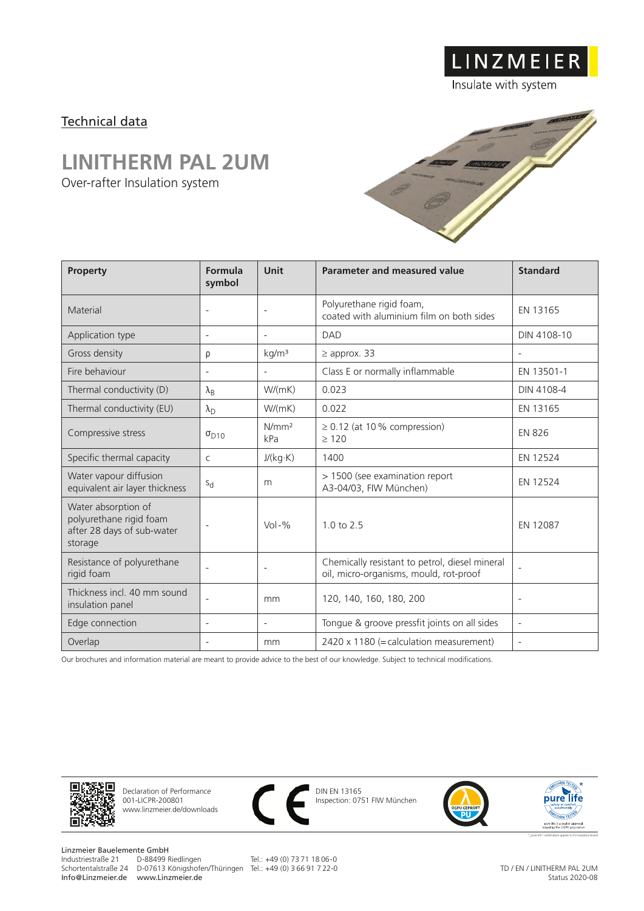### Technical data

## **LINITHERM PAL 2UM**

Over-rafter Insulation system



LINZMEIER

Insulate with system

| Property                                                                                | Formula<br>symbol        | Unit                     | <b>Parameter and measured value</b>                                                      | <b>Standard</b>          |
|-----------------------------------------------------------------------------------------|--------------------------|--------------------------|------------------------------------------------------------------------------------------|--------------------------|
| Material                                                                                | $\overline{\phantom{a}}$ | $\overline{\phantom{a}}$ | Polyurethane rigid foam,<br>coated with aluminium film on both sides                     | EN 13165                 |
| Application type                                                                        | $\overline{\phantom{a}}$ | $\overline{\phantom{a}}$ | DAD                                                                                      | DIN 4108-10              |
| Gross density                                                                           | ρ                        | kg/m <sup>3</sup>        | $\geq$ approx. 33                                                                        |                          |
| Fire behaviour                                                                          | $\overline{\phantom{a}}$ | $\overline{\phantom{a}}$ | Class E or normally inflammable                                                          | EN 13501-1               |
| Thermal conductivity (D)                                                                | $\lambda_{\mathsf{B}}$   | W/(mK)                   | 0.023                                                                                    | DIN 4108-4               |
| Thermal conductivity (EU)                                                               | $\lambda_{\rm D}$        | W/(mK)                   | 0.022                                                                                    | EN 13165                 |
| Compressive stress                                                                      | $\sigma_{D10}$           | N/mm <sup>2</sup><br>kPa | $\geq$ 0.12 (at 10% compression)<br>$\geq 120$                                           | <b>EN 826</b>            |
| Specific thermal capacity                                                               | $\mathsf{C}$             | J/(kg·K)                 | 1400                                                                                     | EN 12524                 |
| Water vapour diffusion<br>equivalent air layer thickness                                | $S_{d}$                  | m                        | > 1500 (see examination report<br>A3-04/03, FIW München)                                 | EN 12524                 |
| Water absorption of<br>polyurethane rigid foam<br>after 28 days of sub-water<br>storage |                          | $Vol - %$                | $1.0 \text{ to } 2.5$                                                                    | EN 12087                 |
| Resistance of polyurethane<br>rigid foam                                                | $\overline{\phantom{a}}$ | $\overline{\phantom{a}}$ | Chemically resistant to petrol, diesel mineral<br>oil, micro-organisms, mould, rot-proof |                          |
| Thickness incl. 40 mm sound<br>insulation panel                                         | ÷                        | mm                       | 120, 140, 160, 180, 200                                                                  | $\overline{\phantom{a}}$ |
| Edge connection                                                                         | $\overline{\phantom{a}}$ | $\overline{\phantom{a}}$ | Tongue & groove pressfit joints on all sides                                             | $\overline{\phantom{a}}$ |
| Overlap                                                                                 |                          | mm                       | 2420 x 1180 (= calculation measurement)                                                  |                          |

Our brochures and information material are meant to provide advice to the best of our knowledge. Subject to technical modifications.



Declaration of Performance 001-LICPR-200801 www.linzmeier.de/downloads



DIN EN 13165 Inspection: 0751 FIW München



Linzmeier Bauelemente GmbH<br>Industriestraße 21 D-88499 Riedlingen Info@Linzmeier.de www.Linzmeier.de

Schortentalstraße 24 D-07613 Königshofen/Thüringen Tel.: +49 (0) 3 66 91 7 22-0

Tel.: +49 (0) 73 71 18 06-0

TD / EN / LINITHERM PAL 2UM Status 2020-08

★\*"pure life"-certification applies to PU insulation board

**ENTISSION TESTED**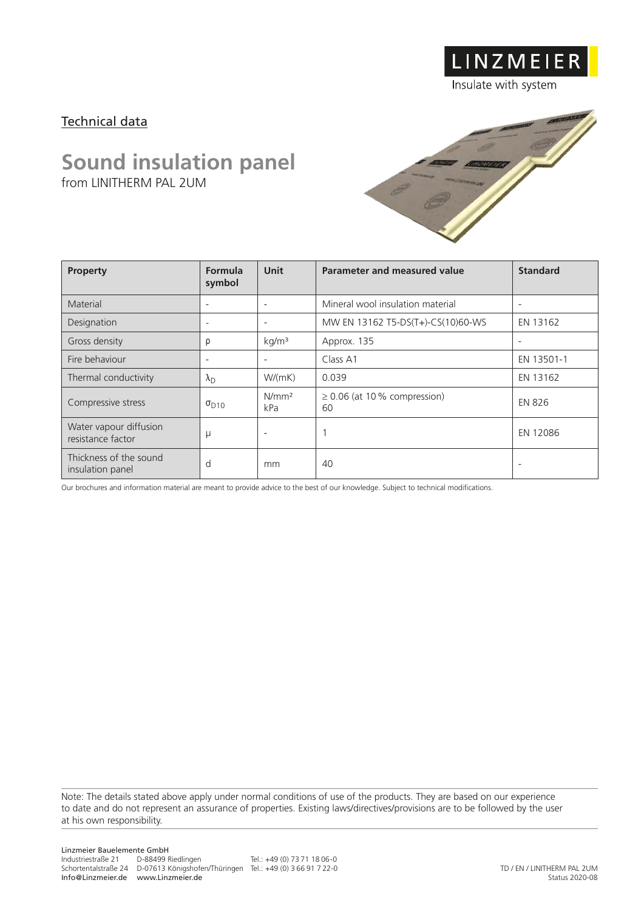### Technical data

# **Sound insulation panel**

from LINITHERM PAL 2UM



LINZMEIER

Insulate with system

| <b>Property</b>                             | Formula<br>symbol        | <b>Unit</b>              | Parameter and measured value            | <b>Standard</b>          |
|---------------------------------------------|--------------------------|--------------------------|-----------------------------------------|--------------------------|
| Material                                    | $\overline{\phantom{a}}$ | $\overline{\phantom{a}}$ | Mineral wool insulation material        | $\overline{\phantom{a}}$ |
| Designation                                 | $\overline{\phantom{a}}$ | $\overline{\phantom{a}}$ | MW EN 13162 T5-DS(T+)-CS(10)60-WS       | EN 13162                 |
| Gross density                               | ρ                        | kg/m <sup>3</sup>        | Approx. 135                             |                          |
| Fire behaviour                              | $\overline{\phantom{0}}$ | $\overline{\phantom{a}}$ | Class A1                                | EN 13501-1               |
| Thermal conductivity                        | $\lambda_{\rm D}$        | W/(mK)                   | 0.039                                   | EN 13162                 |
| Compressive stress                          | $\sigma_{D10}$           | N/mm <sup>2</sup><br>kPa | $\geq$ 0.06 (at 10 % compression)<br>60 | <b>EN 826</b>            |
| Water vapour diffusion<br>resistance factor | μ                        | $\overline{\phantom{0}}$ |                                         | EN 12086                 |
| Thickness of the sound<br>insulation panel  | d                        | mm                       | 40                                      | $\overline{\phantom{a}}$ |

Our brochures and information material are meant to provide advice to the best of our knowledge. Subject to technical modifications.

Note: The details stated above apply under normal conditions of use of the products. They are based on our experience to date and do not represent an assurance of properties. Existing laws/directives/provisions are to be followed by the user at his own responsibility.